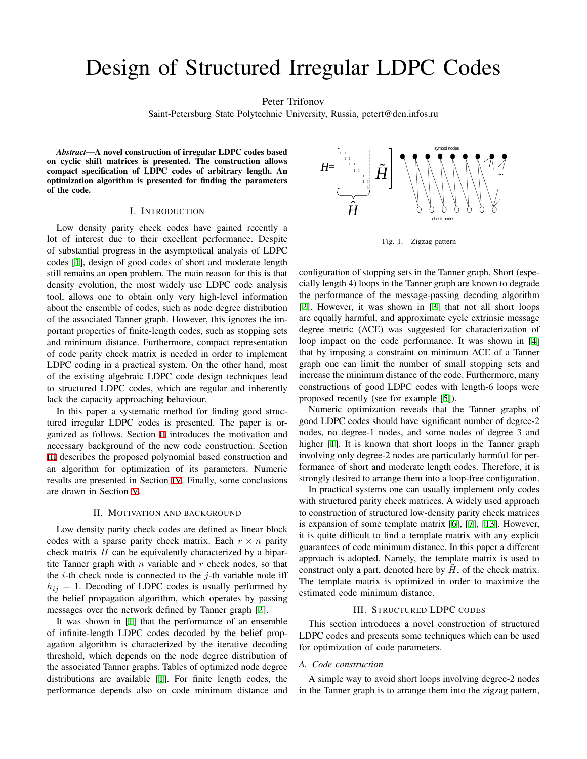# Design of Structured Irregular LDPC Codes

Peter Trifonov

Saint-Petersburg State Polytechnic University, Russia, petert@dcn.infos.ru

*Abstract*—A novel construction of irregular LDPC codes based on cyclic shift matrices is presented. The construction allows compact specification of LDPC codes of arbitrary length. An optimization algorithm is presented for finding the parameters of the code.

## I. INTRODUCTION

Low density parity check codes have gained recently a lot of interest due to their excellent performance. Despite of substantial progress in the asymptotical analysis of LDPC codes [\[1](#page-2-0)], design of good codes of short and moderate length still remains an open problem. The main reason for this is that density evolution, the most widely use LDPC code analysis tool, allows one to obtain only very high-level information about the ensemble of codes, such as node degree distribution of the associated Tanner graph. However, this ignores the important properties of finite-length codes, such as stopping sets and minimum distance. Furthermore, compact representation of code parity check matrix is needed in order to implement LDPC coding in a practical system. On the other hand, most of the existing algebraic LDPC code design techniques lead to structured LDPC codes, which are regular and inherently lack the capacity approaching behaviour.

In this paper a systematic method for finding good structured irregular LDPC codes is presented. The paper is organized as follows. Section [II](#page-0-0) introduces the motivation and necessary background of the new code construction. Section [III](#page-0-1) describes the proposed polynomial based construction and an algorithm for optimization of its parameters. Numeric results are presented in Section [IV.](#page-2-1) Finally, some conclusions are drawn in Section [V.](#page-2-2)

#### II. MOTIVATION AND BACKGROUND

<span id="page-0-0"></span>Low density parity check codes are defined as linear block codes with a sparse parity check matrix. Each  $r \times n$  parity check matrix *H* can be equivalently characterized by a bipartite Tanner graph with *n* variable and *r* check nodes, so that the  $i$ -th check node is connected to the  $j$ -th variable node iff  $h_{ij} = 1$ . Decoding of LDPC codes is usually performed by the belief propagation algorithm, which operates by passing messages over the network defined by Tanner graph [\[2](#page-4-0)].

It was shown in [[1\]](#page-2-0) that the performance of an ensemble of infinite-length LDPC codes decoded by the belief propagation algorithm is characterized by the iterative decoding threshold, which depends on the node degree distribution of the associated Tanner graphs. Tables of optimized node degree distributions are available [[1\]](#page-2-0). For finite length codes, the performance depends also on code minimum distance and



<span id="page-0-2"></span>Fig. 1. Zigzag pattern

configuration of stopping sets in the Tanner graph. Short (especially length 4) loops in the Tanner graph are known to degrade the performance of the message-passing decoding algorithm [\[2](#page-4-0)]. However, it was shown in [\[3](#page-4-1)] that not all short loops are equally harmful, and approximate cycle extrinsic message degree metric (ACE) was suggested for characterization of loop impact on the code performance. It was shown in [[4\]](#page-4-2) that by imposing a constraint on minimum ACE of a Tanner graph one can limit the number of small stopping sets and increase the minimum distance of the code. Furthermore, many constructions of good LDPC codes with length-6 loops were proposed recently (see for example [[5\]](#page-4-3)).

Numeric optimization reveals that the Tanner graphs of good LDPC codes should have significant number of degree-2 nodes, no degree-1 nodes, and some nodes of degree 3 and higher [[1\]](#page-2-0). It is known that short loops in the Tanner graph involving only degree-2 nodes are particularly harmful for performance of short and moderate length codes. Therefore, it is strongly desired to arrange them into a loop-free configuration.

In practical systems one can usually implement only codes with structured parity check matrices. A widely used approach to construction of structured low-density parity check matrices is expansion of some template matrix [\[6](#page-4-4)], [[7\]](#page-4-5), [\[13](#page-4-6)]. However, it is quite difficult to find a template matrix with any explicit guarantees of code minimum distance. In this paper a different approach is adopted. Namely, the template matrix is used to construct only a part, denoted here by  $\hat{H}$ , of the check matrix. The template matrix is optimized in order to maximize the estimated code minimum distance.

### III. STRUCTURED LDPC CODES

<span id="page-0-1"></span>This section introduces a novel construction of structured LDPC codes and presents some techniques which can be used for optimization of code parameters.

#### *A. Code construction*

A simple way to avoid short loops involving degree-2 nodes in the Tanner graph is to arrange them into the zigzag pattern,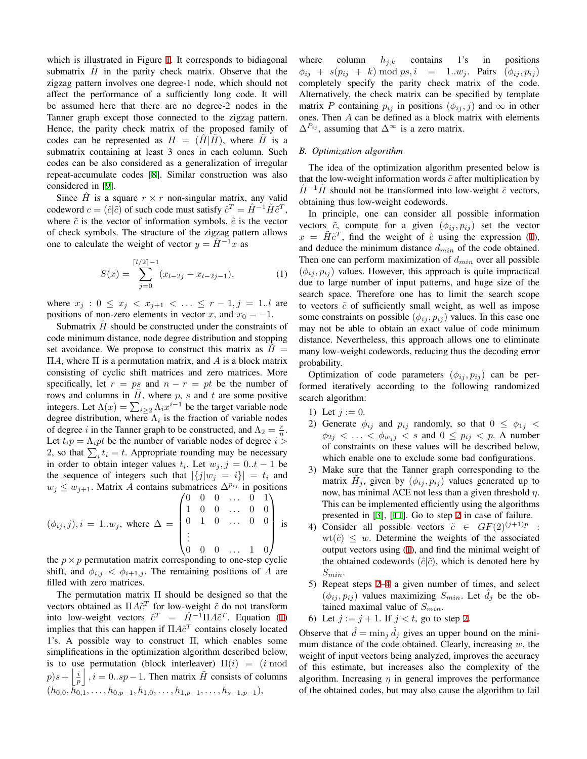which is illustrated in Figure [1.](#page-0-2) It corresponds to bidiagonal submatrix  $\hat{H}$  in the parity check matrix. Observe that the zigzag pattern involves one degree-1 node, which should not affect the performance of a sufficiently long code. It will be assumed here that there are no degree-2 nodes in the Tanner graph except those connected to the zigzag pattern. Hence, the parity check matrix of the proposed family of codes can be represented as  $H = (H|H)$ , where *H* is a submatrix containing at least 3 ones in each column. Such codes can be also considered as a generalization of irregular repeat-accumulate codes [\[8](#page-4-7)]. Similar construction was also considered in [\[9](#page-4-8)].

Since  $\hat{H}$  is a square  $r \times r$  non-singular matrix, any valid codeword  $c = (\hat{c}|\tilde{c})$  of such code must satisfy  $\hat{c}^T = \hat{H}^{-1}\tilde{H}\tilde{c}^T$ , where  $\tilde{c}$  is the vector of information symbols,  $\hat{c}$  is the vector of check symbols. The structure of the zigzag pattern allows one to calculate the weight of vector  $y = \hat{H}^{-1}x$  as

<span id="page-1-0"></span>
$$
S(x) = \sum_{j=0}^{\lceil l/2 \rceil - 1} (x_{l-2j} - x_{l-2j-1}),
$$
 (1)

where  $x_j : 0 \le x_j < x_{j+1} < \ldots \le r-1, j = 1..l$  are positions of non-zero elements in vector *x*, and  $x_0 = -1$ .

Submatrix *H* should be constructed under the constraints of code minimum distance, node degree distribution and stopping set avoidance. We propose to construct this matrix as  $H =$ Π*A*, where Π is a permutation matrix, and *A* is a block matrix consisting of cyclic shift matrices and zero matrices. More specifically, let  $r = ps$  and  $n - r = pt$  be the number of rows and columns in  $H$ , where  $p$ ,  $s$  and  $t$  are some positive integers. Let  $\Lambda(x) = \sum_{i \geq 2} \Lambda_i x^{i-1}$  be the target variable node degree distribution, where  $\Lambda_i$  is the fraction of variable nodes of degree *i* in the Tanner graph to be constructed, and  $\Lambda_2 = \frac{r}{n}$ . Let  $t_i p = \Lambda_i pt$  be the number of variable nodes of degree  $i >$ 2, so that  $\sum_i t_i = t$ . Appropriate rounding may be necessary in order to obtain integer values  $t_i$ . Let  $w_j$ ,  $j = 0..t - 1$  be the sequence of integers such that  $|\{j|w_j = i\}| = t_i$  and  $w_j \leq w_{j+1}$ . Matrix *A* contains submatrices  $\Delta^{p_{ij}}$  in positions

$$
(\phi_{ij}, j), i = 1..w_j, \text{ where } \Delta = \begin{pmatrix} 0 & 0 & 0 & \dots & 0 & 1 \\ 1 & 0 & 0 & \dots & 0 & 0 \\ 0 & 1 & 0 & \dots & 0 & 0 \\ \vdots & & & & & \\ 0 & 0 & 0 & \dots & 1 & 0 \end{pmatrix} \text{ is}
$$

the  $p \times p$  permutation matrix corresponding to one-step cyclic shift, and  $\phi_{i,j} < \phi_{i+1,j}$ . The remaining positions of *A* are filled with zero matrices.

The permutation matrix Π should be designed so that the vectors obtained as  $\Pi A \tilde{c}^T$  for low-weight  $\tilde{c}$  do not transform into low-weight vectors  $\hat{c}^T = \hat{H}^{-1} \Pi A \tilde{c}^T$ . Equation ([1\)](#page-1-0) implies that this can happen if  $\Pi A \tilde{c}^T$  contains closely located 1's. A possible way to construct Π, which enables some simplifications in the optimization algorithm described below, is to use permutation (block interleaver)  $\Pi(i) = (i \mod 2)$  $p$ ) $s + \left| \frac{i}{p} \right|$ ,  $i = 0..sp - 1$ . Then matrix  $\tilde{H}$  consists of columns  $(h_{0,0}, \hat{h}_{0,1}^{\mathbf{1}}, \ldots, h_{0,p-1}, h_{1,0}, \ldots, h_{1,p-1}, \ldots, h_{s-1,p-1}),$ 

where column  $h_{j,k}$  contains 1's in positions  $\phi_{ij}$  + *s*( $p_{ij}$  + *k*) mod *ps, i* = 1*..w<sub>j</sub>*. Pairs ( $\phi_{ij}, p_{ij}$ ) completely specify the parity check matrix of the code. Alternatively, the check matrix can be specified by template matrix *P* containing  $p_{ij}$  in positions  $(\phi_{ij}, j)$  and  $\infty$  in other ones. Then *A* can be defined as a block matrix with elements ∆*<sup>P</sup>ij* , assuming that ∆*<sup>∞</sup>* is a zero matrix.

## *B. Optimization algorithm*

The idea of the optimization algorithm presented below is that the low-weight information words  $\tilde{c}$  after multiplication by  $\hat{H}^{-1}\tilde{H}$  should not be transformed into low-weight  $\hat{c}$  vectors, obtaining thus low-weight codewords.

In principle, one can consider all possible information vectors  $\tilde{c}$ , compute for a given  $(\phi_{ij}, p_{ij})$  set the vector  $x = \tilde{H}\tilde{c}^T$ , find the weight of  $\hat{c}$  using the expression [\(1](#page-1-0)), and deduce the minimum distance *dmin* of the code obtained. Then one can perform maximization of *dmin* over all possible  $(\phi_{ij}, p_{ij})$  values. However, this approach is quite impractical due to large number of input patterns, and huge size of the search space. Therefore one has to limit the search scope to vectors  $\tilde{c}$  of sufficiently small weight, as well as impose some constraints on possible  $(\phi_{ij}, p_{ij})$  values. In this case one may not be able to obtain an exact value of code minimum distance. Nevertheless, this approach allows one to eliminate many low-weight codewords, reducing thus the decoding error probability.

Optimization of code parameters  $(\phi_{ij}, p_{ij})$  can be performed iteratively according to the following randomized search algorithm:

- 1) Let  $j := 0$ .
- <span id="page-1-1"></span>2) Generate  $\phi_{ij}$  and  $p_{ij}$  randomly, so that  $0 \leq \phi_{1j} <$  $\phi_{2j} < \ldots < \phi_{w_jj} < s$  and  $0 \leq p_{ij} < p$ . A number of constraints on these values will be described below, which enable one to exclude some bad configurations.
- 3) Make sure that the Tanner graph corresponding to the matrix  $\tilde{H}_j$ , given by  $(\phi_{ij}, p_{ij})$  values generated up to now, has minimal ACE not less than a given threshold *η*. This can be implemented efficiently using the algorithms presented in [\[3](#page-4-1)], [\[11\]](#page-4-9). Go to step [2](#page-1-1) in case of failure.
- <span id="page-1-2"></span>4) Consider all possible vectors  $\tilde{c} \in GF(2)^{(j+1)p}$ :  $wt(\tilde{c}) \leq w$ . Determine the weights of the associated output vectors using ([1\)](#page-1-0), and find the minimal weight of the obtained codewords  $(\hat{c}|\tilde{c})$ , which is denoted here by *Smin*.
- 5) Repeat steps [2](#page-1-1)[–4](#page-1-2) a given number of times, and select  $(\phi_{ij}, p_{ij})$  values maximizing  $S_{min}$ . Let  $\tilde{d}_j$  be the obtained maximal value of *Smin*.
- 6) Let  $j := j + 1$ . If  $j < t$ , go to step [2](#page-1-1).

Observe that  $\hat{d} = \min_j \hat{d}_j$  gives an upper bound on the minimum distance of the code obtained. Clearly, increasing *w*, the weight of input vectors being analyzed, improves the accuracy of this estimate, but increases also the complexity of the algorithm. Increasing *η* in general improves the performance of the obtained codes, but may also cause the algorithm to fail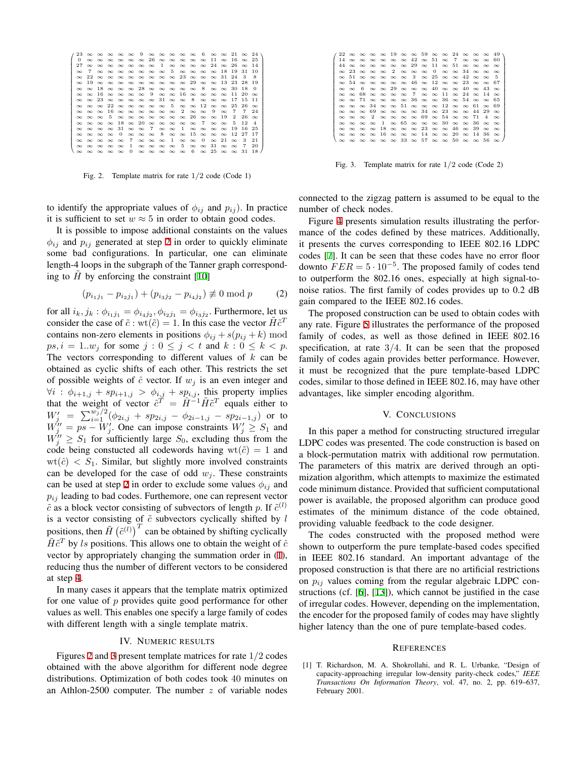|          |    |                                              |  |  |  | $23$ $\infty$ $\infty$ $\infty$ $\infty$ $\infty$ $9$ $\infty$ $\infty$ $\infty$ $\infty$ $6$ $\infty$ $\infty$ $21$ $\infty$ $24$ |  |          |              |          |                |
|----------|----|----------------------------------------------|--|--|--|------------------------------------------------------------------------------------------------------------------------------------|--|----------|--------------|----------|----------------|
| 0        |    |                                              |  |  |  | ∞∞∞∞∞∞∞26∞∞∞∞∞∞∞11∞16∞25                                                                                                           |  |          |              |          |                |
| 27       |    |                                              |  |  |  | $\infty$ $\infty$ $\infty$ $\infty$ $\infty$ $\infty$ $1$ $\infty$ $\infty$ $\infty$ $\infty$ $24$ $\infty$ $26$                   |  |          |              | $\infty$ | -14            |
| $\infty$ | -7 |                                              |  |  |  | $\infty$ $\infty$ $\infty$ $\infty$ $\infty$ $\infty$ $\infty$ $5$ $\infty$ $\infty$ $\infty$ $\infty$ 18                          |  |          | -19          | 31       | 10             |
| $\infty$ |    |                                              |  |  |  | $22 \infty \infty \infty \infty \infty \infty \infty \infty \infty 23 \infty \infty \infty 31$                                     |  |          | 24           | -3       | 8              |
|          |    |                                              |  |  |  | $\infty$ 19 $\infty$ $\infty$ $\infty$ $\infty$ $\infty$ $\infty$ $\infty$ $\infty$ $29$ $\infty$ $\infty$ 13 23                   |  |          |              | 28 19    |                |
|          |    |                                              |  |  |  | $\infty \infty$ 18 $\infty \infty \infty$ 28 $\infty \infty \infty \infty$ $\infty$ 8 $\infty \infty$ 30                           |  |          |              | 18       | - 0            |
|          |    |                                              |  |  |  | $\infty \infty$ 16 $\infty \infty \infty \infty$ 9 $\infty \infty$ 16 $\infty \infty \infty$ $\infty$ 11                           |  |          |              | -20      | <u>ം</u>       |
|          |    |                                              |  |  |  | $\infty \infty$ 23 $\infty \infty \infty \infty \infty$ 31 $\infty \infty$ 8 $\infty \infty \infty$ 17                             |  |          |              | 15.      | -11            |
|          |    |                                              |  |  |  | $\infty$ $\infty$ $\infty$ $22$ $\infty$ $\infty$ $\infty$ $\infty$ $\infty$ $5$ $\infty$ $\infty$ $12$ $\infty$ $\infty$ $25$     |  |          |              | -26      | $\infty$       |
|          |    |                                              |  |  |  | ∞ ∞ ∞ 16 ∞ ∞ ∞ ∞ ∞ ∞ 2 ∞ ∞ 9                                                                                                       |  | $\infty$ | -7           | -7       | 24             |
|          |    |                                              |  |  |  | $\infty$ $\infty$ $\infty$ $5$ $\infty$ $\infty$ $\infty$ $\infty$ $\infty$ $\infty$ $26$ $\infty$ $\infty$ $19$                   |  |          | $\mathbf{2}$ | 26       | $\sim$         |
|          |    |                                              |  |  |  | $\infty$ $\infty$ $\infty$ $\infty$ $18$ $\infty$ $20$ $\infty$ $\infty$ $\infty$ $\infty$ $\infty$ $7$ $\infty$ $\infty$ 5        |  |          |              | 12       | $\overline{4}$ |
|          |    |                                              |  |  |  | ∞∞∞∞∞31∞∞7∞∞1∞∞∞∞                                                                                                                  |  |          | -19          | 16       | -25            |
|          |    |                                              |  |  |  | $\infty \infty \infty \infty$ 0 $\infty \infty \infty$ 8 $\infty \infty$ 15 $\infty \infty \infty$ 12 27                           |  |          |              |          | -17            |
|          |    |                                              |  |  |  | $\infty \infty \infty \infty \infty \infty$ $7 \infty \infty \infty$ $1 \infty \infty$ $0 \infty$ $21 \infty$                      |  |          |              | -3       | 21             |
|          |    | $\infty$ $\infty$ $\infty$ $\infty$ $\infty$ |  |  |  | $1 \infty \infty \infty \infty$ $5 \infty \infty$ $31 \infty \infty$                                                               |  |          |              | -7       | 20             |
|          |    | രെ രെ രെ രെ                                  |  |  |  | $0 \infty \infty \infty \infty \infty$ 6 $\infty$ 25 $\infty \infty$ 31                                                            |  |          |              |          | 18             |
|          |    |                                              |  |  |  |                                                                                                                                    |  |          |              |          |                |

<span id="page-2-3"></span>Fig. 2. Template matrix for rate 1*/*2 code (Code 1)

to identify the appropriate values of  $\phi_{ij}$  and  $p_{ij}$ ). In practice it is sufficient to set  $w \approx 5$  in order to obtain good codes.

It is possible to impose additional constaints on the values  $\phi_{ij}$  and  $p_{ij}$  generated at step [2](#page-1-1) in order to quickly eliminate some bad configurations. In particular, one can eliminate length-4 loops in the subgraph of the Tanner graph corresponding to  $H$  by enforcing the constraint  $[10]$  $[10]$ 

$$
(p_{i_1j_1} - p_{i_2j_1}) + (p_{i_3j_2} - p_{i_4j_2}) \not\equiv 0 \mod p \tag{2}
$$

for all  $i_k, j_k : \phi_{i_1 j_1} = \phi_{i_4 j_2}, \phi_{i_2 j_1} = \phi_{i_3 j_2}$ . Furthermore, let us consider the case of  $\tilde{c}$  : wt $(\tilde{c}) = 1$ . In this case the vector  $\tilde{H}\tilde{c}^T$ contains non-zero elements in positions  $\phi_{ij} + s(p_{ij} + k)$  mod *ps, i* = 1*..w<sub>j</sub>* for some  $j : 0 \le j < t$  and  $k : 0 \le k < p$ . The vectors corresponding to different values of *k* can be obtained as cyclic shifts of each other. This restricts the set of possible weights of  $\hat{c}$  vector. If  $w_i$  is an even integer and  $\forall i$  :  $\phi_{i+1,j}$  +  $sp_{i+1,j}$  >  $\phi_{i,j}$  +  $sp_{i,j}$ , this property implies that the weight of vector  $\hat{c}^T = \hat{H}^{-1} \tilde{H} \tilde{c}^T$  equals either to  $W'_{j}$  =  $\sum_{i=1}^{w_{j}/2} (\phi_{2i,j} + sp_{2i,j} - \phi_{2i-1,j} - sp_{2i-1,j})$  or to  $W_j'' = ps - W_j'$ . One can impose constraints  $W_j' \geq S_1$  and  $W''_j \geq S_1$  for sufficiently large  $S_0$ , excluding thus from the code being constucted all codewords having  $wt(\tilde{c}) = 1$  and  $wt(\hat{c}) < S_1$ . Similar, but slightly more involved constraints can be developed for the case of odd  $w_j$ . These constraints can be used at step [2](#page-1-1) in order to exclude some values  $\phi_{ij}$  and  $p_{ij}$  leading to bad codes. Furthemore, one can represent vector  $\tilde{c}$  as a block vector consisting of subvectors of length *p*. If  $\tilde{c}^{(l)}$ is a vector consisting of  $\tilde{c}$  subvectors cyclically shifted by  $l$ positions, then  $\tilde{H}(\tilde{c}^{(l)})^T$  can be obtained by shifting cyclically  $\tilde{H}\tilde{c}^T$  by *ls* positions. This allows one to obtain the weight of  $\hat{c}$ vector by appropriately changing the summation order in [\(1](#page-1-0)), reducing thus the number of different vectors to be considered at step [4](#page-1-2).

In many cases it appears that the template matrix optimized for one value of *p* provides quite good performance for other values as well. This enables one specify a large family of codes with different length with a single template matrix.

## IV. NUMERIC RESULTS

<span id="page-2-1"></span>Figures [2](#page-2-3) and [3](#page-2-4) present template matrices for rate 1*/*2 codes obtained with the above algorithm for different node degree distributions. Optimization of both codes took 40 minutes on an Athlon-2500 computer. The number *z* of variable nodes

|          |          |                                     |                    |                            |                   |          |             | $22 \infty \infty \infty \infty \infty 19 \infty \infty 59 \infty \infty 24 \infty \infty \infty 49$ |             |             |                        |                   |                |          |
|----------|----------|-------------------------------------|--------------------|----------------------------|-------------------|----------|-------------|------------------------------------------------------------------------------------------------------|-------------|-------------|------------------------|-------------------|----------------|----------|
| 14       |          |                                     | രെ രെ രെ ര         |                            | $\infty$          | $\infty$ | 42          |                                                                                                      |             |             | $\infty$ 51 $\infty$ 7 | $\infty$ $\infty$ | $\infty$       | -60      |
| 44       | $\infty$ | $\infty$                            | $\infty$           |                            | $\infty$ $\infty$ |          | $\infty$ 29 |                                                                                                      | $\infty$ 11 | $\infty$ 51 |                        | $\infty$ $\infty$ | $\infty$       | $\infty$ |
| $\infty$ | -23-     |                                     | ര ര ര              |                            |                   |          |             | $2 \infty \infty \infty$ 0                                                                           |             |             | $\infty \infty$ 34     | െ ന               |                | $\infty$ |
| $\infty$ | 51.      |                                     | ര ര ര ര ര          |                            |                   |          |             | $3 \infty 25 \infty \infty 42$                                                                       |             |             |                        | $\infty$          | $\infty$       | 5        |
| $\infty$ | 54.      |                                     |                    |                            |                   |          |             | $\infty$ $\infty$ $\infty$ $\infty$ $46$ $\infty$ $12$ $\infty$ $\infty$ $23$ $\infty$ $\infty$      |             |             |                        |                   |                |          |
| $\infty$ | $\infty$ | 6                                   |                    |                            |                   |          |             | $\infty \infty$ 29 $\infty \infty \infty$ 40 $\infty \infty$ 40 $\infty$ 43                          |             |             |                        |                   |                | $\sim$   |
| $\infty$ | $\infty$ | 68.                                 |                    | $\infty$ $\infty$ $\infty$ |                   |          |             | $7 \infty \infty 11 \infty 24$                                                                       |             |             |                        | $\infty$          | 14             | $\infty$ |
| $\infty$ |          | $\infty$ 71                         |                    |                            |                   |          |             | $\infty$ $\infty$ $\infty$ $\infty$ 36 $\infty$ $\infty$ 36 $\infty$ 54 $\infty$ $\infty$            |             |             |                        |                   |                | -65      |
| $\infty$ |          | $\infty$ $\infty$                   |                    |                            |                   |          |             | $34 \approx \infty$ 51 $\infty \approx \infty$ 12 $\infty \approx 61$                                |             |             |                        |                   | $\infty$       | -69      |
| $\infty$ |          |                                     |                    |                            |                   |          |             | <u>രാരെ 69 രാരെ രാരെ 34 രാ23 രാരെ</u>                                                                |             |             |                        | 44                | 29             | $\infty$ |
| $\infty$ | $\infty$ | $\infty$                            | $\overline{2}$     |                            |                   |          |             | രെയെയെ 69 യ 54 യയ                                                                                    |             |             |                        | 71                | $\overline{A}$ | $\sim$   |
|          |          | $\infty$ $\infty$ $\infty$ $\infty$ |                    | - 1                        |                   |          |             | $\infty$ 65 $\infty$ $\infty$ $\infty$ 30 $\infty$ $\infty$                                          |             |             |                        | 36                | $\infty$       | $\infty$ |
| $\infty$ |          |                                     |                    |                            |                   |          |             | $\infty$ $\infty$ $\infty$ 18 $\infty$ $\infty$ $\infty$ 23 $\infty$ $\infty$ 46 $\infty$            |             |             |                        | 39                | $\infty$       | $\infty$ |
| $\infty$ | $\infty$ |                                     | $\infty \infty 16$ |                            |                   |          |             | $\infty \infty \infty$ $14 \infty \infty$ $20 \infty$                                                |             |             |                        | 14                | 36             | $\infty$ |
| $\infty$ | $\infty$ | $\infty$                            |                    |                            |                   |          |             | $\infty \infty \infty$ 33 $\infty$ 57 $\infty \infty$ 50 $\infty \infty$                             |             |             |                        |                   | 56.            | $\infty$ |
|          |          |                                     |                    |                            |                   |          |             |                                                                                                      |             |             |                        |                   |                |          |

<span id="page-2-4"></span>Fig. 3. Template matrix for rate 1*/*2 code (Code 2)

connected to the zigzag pattern is assumed to be equal to the number of check nodes.

Figure [4](#page-3-0) presents simulation results illustrating the performance of the codes defined by these matrices. Additionally, it presents the curves corresponding to IEEE 802.16 LDPC codes [[7\]](#page-4-5). It can be seen that these codes have no error floor downto  $FER = 5 \cdot 10^{-5}$ . The proposed family of codes tend to outperform the 802.16 ones, especially at high signal-tonoise ratios. The first family of codes provides up to 0.2 dB gain compared to the IEEE 802.16 codes.

The proposed construction can be used to obtain codes with any rate. Figure [5](#page-3-1) illustrates the performance of the proposed family of codes, as well as those defined in IEEE 802.16 specification, at rate 3*/*4. It can be seen that the proposed family of codes again provides better performance. However, it must be recognized that the pure template-based LDPC codes, similar to those defined in IEEE 802.16, may have other advantages, like simpler encoding algorithm.

#### V. CONCLUSIONS

<span id="page-2-2"></span>In this paper a method for constructing structured irregular LDPC codes was presented. The code construction is based on a block-permutation matrix with additional row permutation. The parameters of this matrix are derived through an optimization algorithm, which attempts to maximize the estimated code minimum distance. Provided that sufficient computational power is available, the proposed algorithm can produce good estimates of the minimum distance of the code obtained, providing valuable feedback to the code designer.

The codes constructed with the proposed method were shown to outperform the pure template-based codes specified in IEEE 802.16 standard. An important advantage of the proposed construction is that there are no artificial restrictions on  $p_{ij}$  values coming from the regular algebraic LDPC constructions (cf. [\[6](#page-4-4)], [[13](#page-4-6)]), which cannot be justified in the case of irregular codes. However, depending on the implementation, the encoder for the proposed family of codes may have slightly higher latency than the one of pure template-based codes.

## **REFERENCES**

<span id="page-2-0"></span>[1] T. Richardson, M. A. Shokrollahi, and R. L. Urbanke, "Design of capacity-approaching irregular low-density parity-check codes," *IEEE Transactions On Information Theory*, vol. 47, no. 2, pp. 619–637, February 2001.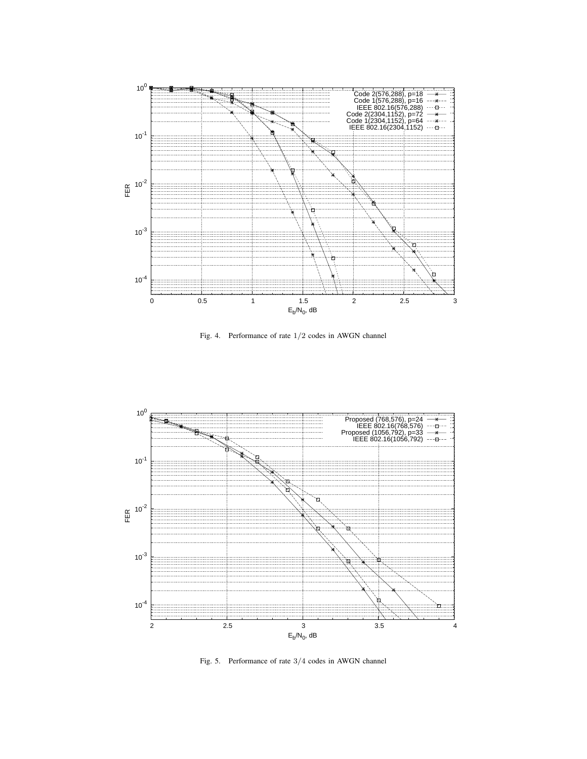

<span id="page-3-0"></span>Fig. 4. Performance of rate 1*/*2 codes in AWGN channel



<span id="page-3-1"></span>Fig. 5. Performance of rate 3*/*4 codes in AWGN channel